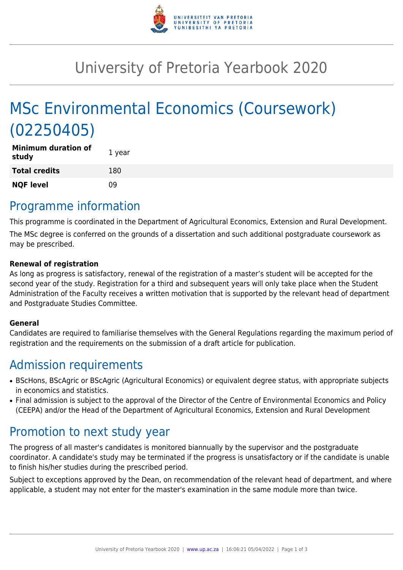

# University of Pretoria Yearbook 2020

# MSc Environmental Economics (Coursework) (02250405)

| <b>Minimum duration of</b><br>study | 1 year |
|-------------------------------------|--------|
| <b>Total credits</b>                | 180    |
| <b>NQF level</b>                    | n۹     |

### Programme information

This programme is coordinated in the Department of Agricultural Economics, Extension and Rural Development.

The MSc degree is conferred on the grounds of a dissertation and such additional postgraduate coursework as may be prescribed.

#### **Renewal of registration**

As long as progress is satisfactory, renewal of the registration of a master's student will be accepted for the second year of the study. Registration for a third and subsequent years will only take place when the Student Administration of the Faculty receives a written motivation that is supported by the relevant head of department and Postgraduate Studies Committee.

#### **General**

Candidates are required to familiarise themselves with the General Regulations regarding the maximum period of registration and the requirements on the submission of a draft article for publication.

## Admission requirements

- BScHons, BScAgric or BScAgric (Agricultural Economics) or equivalent degree status, with appropriate subjects in economics and statistics.
- Final admission is subject to the approval of the Director of the Centre of Environmental Economics and Policy (CEEPA) and/or the Head of the Department of Agricultural Economics, Extension and Rural Development

## Promotion to next study year

The progress of all master's candidates is monitored biannually by the supervisor and the postgraduate coordinator. A candidate's study may be terminated if the progress is unsatisfactory or if the candidate is unable to finish his/her studies during the prescribed period.

Subject to exceptions approved by the Dean, on recommendation of the relevant head of department, and where applicable, a student may not enter for the master's examination in the same module more than twice.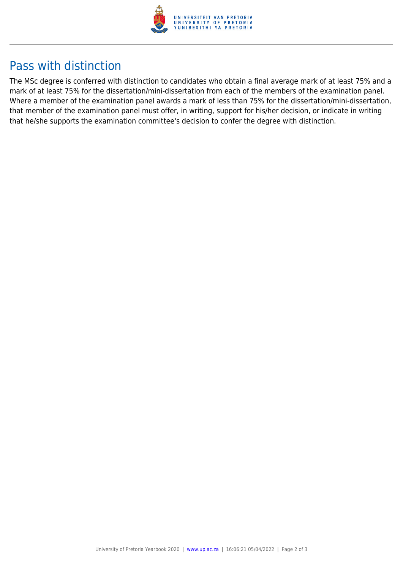

## Pass with distinction

The MSc degree is conferred with distinction to candidates who obtain a final average mark of at least 75% and a mark of at least 75% for the dissertation/mini-dissertation from each of the members of the examination panel. Where a member of the examination panel awards a mark of less than 75% for the dissertation/mini-dissertation, that member of the examination panel must offer, in writing, support for his/her decision, or indicate in writing that he/she supports the examination committee's decision to confer the degree with distinction.